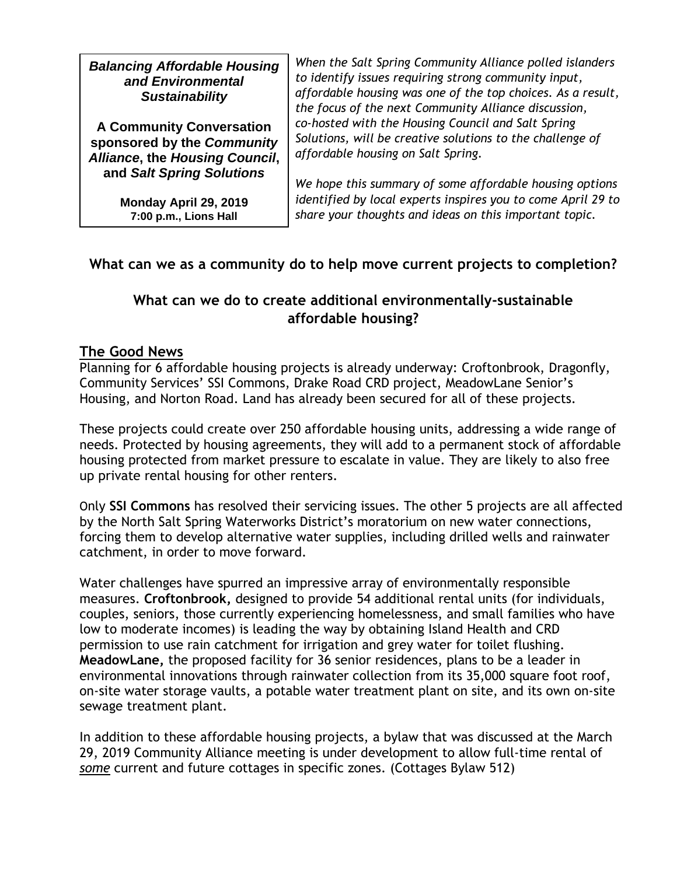| <b>Balancing Affordable Housing</b><br>and Environmental<br><b>Sustainability</b>                                            | When the Salt Spring Community Alliance polled islanders<br>to identify issues requiring strong community input,<br>affordable housing was one of the top choices. As a result,<br>the focus of the next Community Alliance discussion, |
|------------------------------------------------------------------------------------------------------------------------------|-----------------------------------------------------------------------------------------------------------------------------------------------------------------------------------------------------------------------------------------|
| <b>A Community Conversation</b><br>sponsored by the Community<br>Alliance, the Housing Council,<br>and Salt Spring Solutions | co-hosted with the Housing Council and Salt Spring<br>Solutions, will be creative solutions to the challenge of<br>affordable housing on Salt Spring.                                                                                   |
| Monday April 29, 2019<br>7:00 p.m., Lions Hall                                                                               | We hope this summary of some affordable housing options<br>identified by local experts inspires you to come April 29 to<br>share your thoughts and ideas on this important topic.                                                       |

## **What can we as a community do to help move current projects to completion?**

## **What can we do to create additional environmentally-sustainable affordable housing?**

## **The Good News**

Planning for 6 affordable housing projects is already underway: Croftonbrook, Dragonfly, Community Services' SSI Commons, Drake Road CRD project, MeadowLane Senior's Housing, and Norton Road. Land has already been secured for all of these projects.

These projects could create over 250 affordable housing units, addressing a wide range of needs. Protected by housing agreements, they will add to a permanent stock of affordable housing protected from market pressure to escalate in value. They are likely to also free up private rental housing for other renters.

Only **SSI Commons** has resolved their servicing issues. The other 5 projects are all affected by the North Salt Spring Waterworks District's moratorium on new water connections, forcing them to develop alternative water supplies, including drilled wells and rainwater catchment, in order to move forward.

Water challenges have spurred an impressive array of environmentally responsible measures. **Croftonbrook,** designed to provide 54 additional rental units (for individuals, couples, seniors, those currently experiencing homelessness, and small families who have low to moderate incomes) is leading the way by obtaining Island Health and CRD permission to use rain catchment for irrigation and grey water for toilet flushing. **MeadowLane,** the proposed facility for 36 senior residences, plans to be a leader in environmental innovations through rainwater collection from its 35,000 square foot roof, on-site water storage vaults, a potable water treatment plant on site, and its own on-site sewage treatment plant.

In addition to these affordable housing projects, a bylaw that was discussed at the March 29, 2019 Community Alliance meeting is under development to allow full-time rental of *some* current and future cottages in specific zones. (Cottages Bylaw 512)